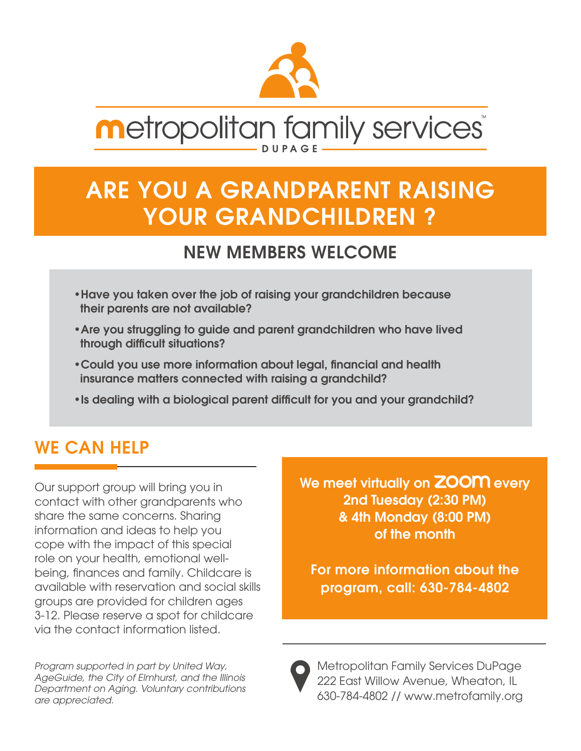

# **Metropolitan family services**

## ARE YOU A GRANDPARENT RAISING YOUR GRANDCHILDREN ?

#### NEW MEMBERS WELCOME

- •Have you taken over the job of raising your grandchildren because their parents are not available?
- •Are you struggling to guide and parent grandchildren who have lived through difficult situations?
- •Could you use more information about legal, financial and health insurance matters connected with raising a grandchild?
- •Is dealing with a biological parent difficult for you and your grandchild?

#### WE CAN HELP

Our support group will bring you in contact with other grandparents who share the same concerns. Sharing information and ideas to help you cope with the impact of this special role on your health, emotional wellbeing, finances and family. Childcare is available with reservation and social skills groups are provided for children ages 3-12. Please reserve a spot for childcare via the contact information listed.

*Program supported in part by United Way, AgeGuide, the City of Elmhurst, and the Illinois Department on Aging. Voluntary contributions are appreciated.*

We meet virtually on **ZOOM** every 2nd Tuesday (2:30 PM) & 4th Monday (8:00 PM) of the month

For more information about the program, call: 630-784-4802



Metropolitan Family Services DuPage 222 East Willow Avenue, Wheaton, IL 630-784-4802 // www.metrofamily.org